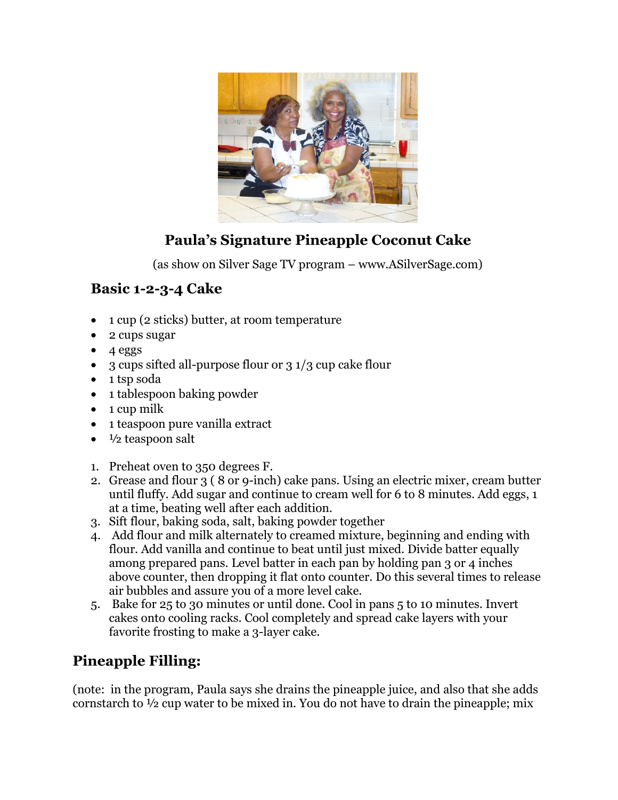

# **Paula's Signature Pineapple Coconut Cake**

(as show on Silver Sage TV program – www.ASilverSage.com)

### **Basic 1-2-3-4 Cake**

- 1 cup (2 sticks) butter, at room temperature
- 2 cups sugar
- $\bullet$  4 eggs
- 3 cups sifted all-purpose flour or 3 1/3 cup cake flour
- 1 tsp soda
- 1 tablespoon baking powder
- $\bullet$  1 cup milk
- 1 teaspoon pure vanilla extract
- $\bullet$   $\frac{1}{2}$  teaspoon salt
- 1. Preheat oven to 350 degrees F.
- 2. Grease and flour 3 ( 8 or 9-inch) cake pans. Using an electric mixer, cream butter until fluffy. Add sugar and continue to cream well for 6 to 8 minutes. Add eggs, 1 at a time, beating well after each addition.
- 3. Sift flour, baking soda, salt, baking powder together
- 4. Add flour and milk alternately to creamed mixture, beginning and ending with flour. Add vanilla and continue to beat until just mixed. Divide batter equally among prepared pans. Level batter in each pan by holding pan 3 or 4 inches above counter, then dropping it flat onto counter. Do this several times to release air bubbles and assure you of a more level cake.
- 5. Bake for 25 to 30 minutes or until done. Cool in pans 5 to 10 minutes. Invert cakes onto cooling racks. Cool completely and spread cake layers with your favorite frosting to make a 3-layer cake.

## **Pineapple Filling:**

(note: in the program, Paula says she drains the pineapple juice, and also that she adds cornstarch to ½ cup water to be mixed in. You do not have to drain the pineapple; mix